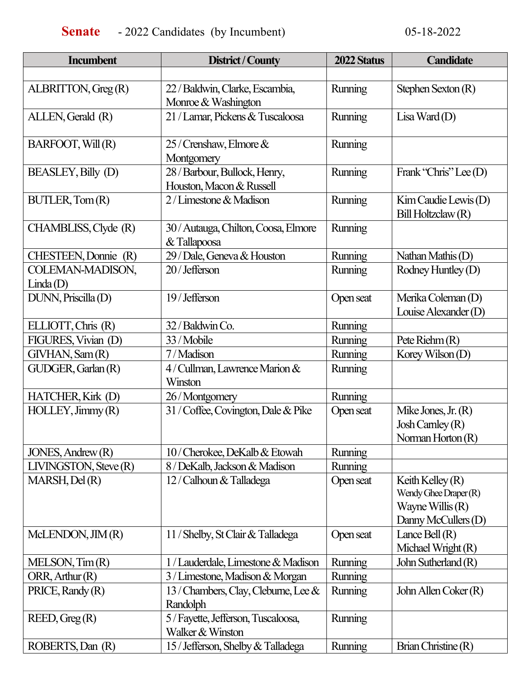| <b>Incumbent</b>      | District / County                        | 2022 Status    | <b>Candidate</b>                              |
|-----------------------|------------------------------------------|----------------|-----------------------------------------------|
|                       |                                          |                |                                               |
| ALBRITTON, Greg (R)   | 22 / Baldwin, Clarke, Escambia,          | Running        | Stephen Sexton (R)                            |
|                       | Monroe & Washington                      |                |                                               |
| ALLEN, Gerald (R)     | 21 / Lamar, Pickens & Tuscaloosa         | Running        | $\text{Lisa Ward}(D)$                         |
| BARFOOT, Will (R)     | $25$ / Crenshaw, Elmore $\&$             | Running        |                                               |
|                       | Montgomery                               |                |                                               |
| BEASLEY, Billy (D)    | 28 / Barbour, Bullock, Henry,            | Running        | Frank "Chris" Lee (D)                         |
|                       | Houston, Macon & Russell                 |                |                                               |
| BUTLER, Tom (R)       | $2/L$ imestone & Madison                 | Running        | $Kim$ Caudie Lewis $(D)$                      |
|                       |                                          |                | Bill Holtzclaw (R)                            |
| CHAMBLISS, Clyde (R)  | 30 / Autauga, Chilton, Coosa, Elmore     | Running        |                                               |
|                       | & Tallapoosa                             |                |                                               |
| CHESTEEN, Donnie (R)  | 29 / Dale, Geneva & Houston              | Running        | Nathan Mathis (D)                             |
| COLEMAN-MADISON,      | 20/Jefferson                             | Running        | Rodney Huntley (D)                            |
| Linda(D)              |                                          |                |                                               |
| DUNN, Priscilla (D)   | 19/Jefferson                             | Open seat      | Merika Coleman (D)                            |
|                       |                                          |                | Louise Alexander (D)                          |
| ELLIOTT, Chris (R)    | 32 / Baldwin Co.                         | Running        |                                               |
| FIGURES, Vivian (D)   | 33/Mobile                                | Running        | Pete Riehm $(R)$                              |
| GIVHAN, Sam (R)       | 7/Madison                                | Running        | Korey Wilson $(D)$                            |
| GUDGER, Garlan (R)    | 4/ Cullman, Lawrence Marion &<br>Winston | Running        |                                               |
|                       |                                          | Running        |                                               |
| HATCHER, Kirk (D)     | 26/Montgomery                            |                |                                               |
| HOLLEY, Jimmy(R)      | 31 / Coffee, Covington, Dale & Pike      | Open seat      | Mike Jones, Jr. $(R)$<br>$Josh$ Carnley $(R)$ |
|                       |                                          |                | Norman Horton $(R)$                           |
| JONES, Andrew (R)     | 10/Cherokee, DeKalb & Etowah             | Running        |                                               |
| LIVINGSTON, Steve (R) | 8 / DeKalb, Jackson & Madison            | <b>Running</b> |                                               |
| MARSH, Del (R)        | 12 / Calhoun & Talladega                 | Open seat      | Keith Kelley $(R)$                            |
|                       |                                          |                | Wendy Ghee Draper (R)                         |
|                       |                                          |                | Wayne Willis (R)                              |
|                       |                                          |                | Danny McCullers (D)                           |
| McLENDON, JIM (R)     | 11 / Shelby, St Clair & Talladega        | Open seat      | Lance Bell $(R)$                              |
|                       |                                          |                | Michael Wright (R)                            |
| MELSON, Tim(R)        | 1 / Lauderdale, Limestone & Madison      | Running        | John Sutherland (R)                           |
| ORR, Arthur (R)       | 3 / Limestone, Madison & Morgan          | Running        |                                               |
| $PRICE,$ Randy $(R)$  | 13 / Chambers, Clay, Cleburne, Lee &     | <b>Running</b> | John Allen Coker (R)                          |
|                       | Randolph                                 |                |                                               |
| REED, Greg(R)         | 5 / Fayette, Jefferson, Tuscaloosa,      | Running        |                                               |
|                       | Walker & Winston                         |                |                                               |
| ROBERTS, Dan (R)      | 15 / Jefferson, Shelby & Talladega       | <b>Running</b> | Brian Christine (R)                           |